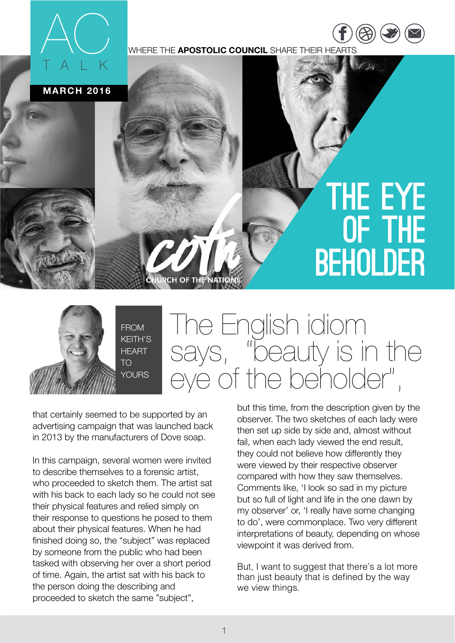

WHERE THE **APOSTOLIC COUNCIL** SHARE THEIR HEARTS

**MARCH 2016**

## THE EYE OF THE BEHOLDER

[https://](https://www.facebook.com/COTNATIONS) ww.fac

 $\overline{\phantom{a}}$ [twitter.com](https://twitter.com/COTNations) [/](https://twitter.com/COTNations)  $(\triangle \triangle)$  ( $\square$ ) ( $\square$ 



The English idiom says, "beauty is in the eye of the beholder",

that certainly seemed to be supported by an advertising campaign that was launched back in 2013 by the manufacturers of Dove soap.

In this campaign, several women were invited to describe themselves to a forensic artist, who proceeded to sketch them. The artist sat with his back to each lady so he could not see their physical features and relied simply on their response to questions he posed to them about their physical features. When he had finished doing so, the "subject" was replaced by someone from the public who had been tasked with observing her over a short period of time. Again, the artist sat with his back to the person doing the describing and proceeded to sketch the same "subject",

but this time, from the description given by the observer. The two sketches of each lady were then set up side by side and, almost without fail, when each lady viewed the end result, they could not believe how differently they were viewed by their respective observer compared with how they saw themselves. Comments like, 'I look so sad in my picture but so full of light and life in the one dawn by my observer' or, 'I really have some changing to do', were commonplace. Two very different interpretations of beauty, depending on whose viewpoint it was derived from.

But, I want to suggest that there's a lot more than just beauty that is defined by the way we view things.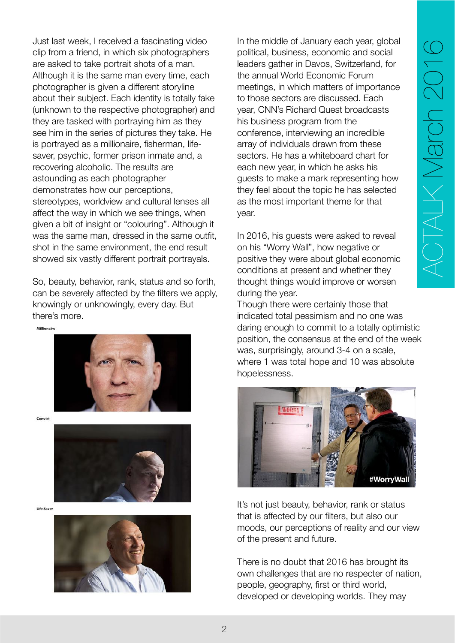Just last week, I received a fascinating video clip from a friend, in which six photographers are asked to take portrait shots of a man. Although it is the same man every time, each photographer is given a different storyline about their subject. Each identity is totally fake (unknown to the respective photographer) and they are tasked with portraying him as they see him in the series of pictures they take. He is portrayed as a millionaire, fisherman, lifesaver, psychic, former prison inmate and, a recovering alcoholic. The results are astounding as each photographer demonstrates how our perceptions, stereotypes, worldview and cultural lenses all affect the way in which we see things, when given a bit of insight or "colouring". Although it was the same man, dressed in the same outfit, shot in the same environment, the end result showed six vastly different portrait portrayals.

So, beauty, behavior, rank, status and so forth, can be severely affected by the filters we apply, knowingly or unknowingly, every day. But there's more.



Convict



Life Saver



In the middle of January each year, global political, business, economic and social leaders gather in Davos, Switzerland, for the annual World Economic Forum meetings, in which matters of importance to those sectors are discussed. Each year, CNN's Richard Quest broadcasts his business program from the conference, interviewing an incredible array of individuals drawn from these sectors. He has a whiteboard chart for each new year, in which he asks his guests to make a mark representing how they feel about the topic he has selected as the most important theme for that year.

In 2016, his guests were asked to reveal on his "Worry Wall", how negative or positive they were about global economic conditions at present and whether they thought things would improve or worsen during the year.

Though there were certainly those that indicated total pessimism and no one was daring enough to commit to a totally optimistic position, the consensus at the end of the week was, surprisingly, around 3-4 on a scale, where 1 was total hope and 10 was absolute hopelessness.



It's not just beauty, behavior, rank or status that is affected by our filters, but also our moods, our perceptions of reality and our view of the present and future.

There is no doubt that 2016 has brought its own challenges that are no respecter of nation, people, geography, first or third world, developed or developing worlds. They may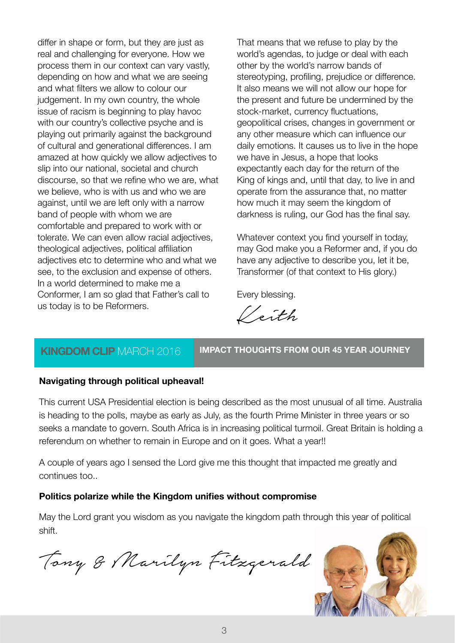differ in shape or form, but they are just as real and challenging for everyone. How we process them in our context can vary vastly, depending on how and what we are seeing and what filters we allow to colour our judgement. In my own country, the whole issue of racism is beginning to play havoc with our country's collective psyche and is playing out primarily against the background of cultural and generational differences. I am amazed at how quickly we allow adjectives to slip into our national, societal and church discourse, so that we refine who we are, what we believe, who is with us and who we are against, until we are left only with a narrow band of people with whom we are comfortable and prepared to work with or tolerate. We can even allow racial adjectives, theological adjectives, political affiliation adjectives etc to determine who and what we see, to the exclusion and expense of others. In a world determined to make me a Conformer, I am so glad that Father's call to us today is to be Reformers.

That means that we refuse to play by the world's agendas, to judge or deal with each other by the world's narrow bands of stereotyping, profiling, prejudice or difference. It also means we will not allow our hope for the present and future be undermined by the stock-market, currency fluctuations, geopolitical crises, changes in government or any other measure which can influence our daily emotions. It causes us to live in the hope we have in Jesus, a hope that looks expectantly each day for the return of the King of kings and, until that day, to live in and operate from the assurance that, no matter how much it may seem the kingdom of darkness is ruling, our God has the final say.

Whatever context you find yourself in today, may God make you a Reformer and, if you do have any adjective to describe you, let it be, Transformer (of that context to His glory.)

Every blessing.

Keith

## **KINGDOM CLIP** MARCH 2016 **IMPACT THOUGHTS FROM OUR 45 YEAR JOURNEY**

## **Navigating through political upheaval!**

This current USA Presidential election is being described as the most unusual of all time. Australia is heading to the polls, maybe as early as July, as the fourth Prime Minister in three years or so seeks a mandate to govern. South Africa is in increasing political turmoil. Great Britain is holding a referendum on whether to remain in Europe and on it goes. What a year!!

A couple of years ago I sensed the Lord give me this thought that impacted me greatly and continues too..

## **Politics polarize while the Kingdom unifies without compromise**

May the Lord grant you wisdom as you navigate the kingdom path through this year of political shift.

Tony & Marilyn Fitzgerald